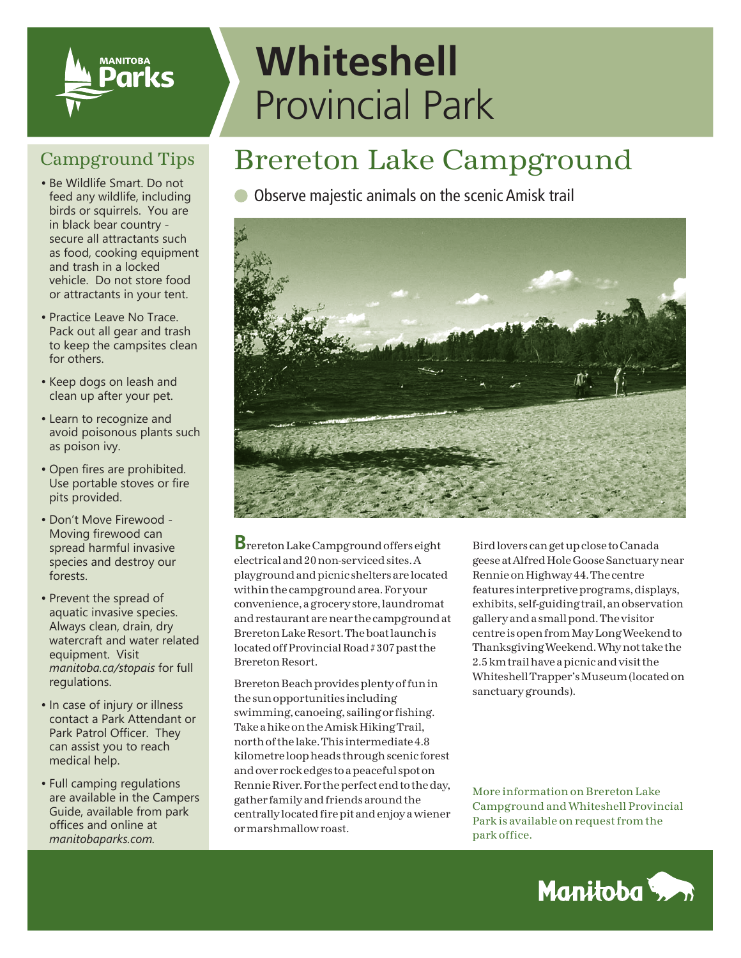

## **Whiteshell** Provincial Park

#### Campground Tips

- feed any wildlife, including birds or squirrels. You are in black bear country secure all attractants such as food, cooking equipment and trash in a locked vehicle. Do not store food or attractants in your tent.
- •Practice Leave No Trace. Pack out all gear and trash to keep the campsites clean for others.
- •Keep dogs on leash and clean up after your pet.
- •Learn to recognize and avoid poisonous plants such as poison ivy.
- •Open fires are prohibited. Use portable stoves or fire pits provided.
- Don't Move Firewood Moving firewood can spread harmful invasive species and destroy our forests.
- •Prevent the spread of aquatic invasive species. Always clean, drain, dry watercraft and water related equipment. Visit *manitoba.ca/stopais* for full regulations.
- In case of injury or illness contact a Park Attendant or Park Patrol Officer. They can assist you to reach medical help.
- •Full camping regulations are available in the Campers Guide, available from park offices and online at *manitobaparks.com.*

### Brereton Lake Campground

#### • Be Wildlife Smart. Do not<br>
feed any wildlife, including **Observe majestic animals on the scenic Amisk trail**



**B**rereton Lake Campground offers eight electrical and 20 non-serviced sites. A playground and picnic shelters are located within the campground area. For your convenience, a grocery store, laundromat and restaurant are near the campground at Brereton Lake Resort. The boat launch is located off Provincial Road # 307 past the Brereton Resort.

Brereton Beach provides plenty of fun in the sun opportunities including swimming, canoeing, sailing or fishing. Take a hike on the Amisk Hiking Trail, north of the lake. This intermediate 4.8 kilometre loop heads through scenic forest and over rock edges to a peaceful spot on Rennie River. For the perfect end to the day, gather family and friends around the centrally located fire pit and enjoy a wiener or marshmallow roast.

Bird lovers can get up close to Canada geese at Alfred Hole Goose Sanctuary near Rennie on Highway 44. The centre features interpretive programs, displays, exhibits, self-guiding trail, an observation gallery and a small pond. The visitor centre is open from May Long Weekend to Thanksgiving Weekend. Why not take the 2.5 km trail have a picnic and visit the Whiteshell Trapper's Museum (located on sanctuary grounds).

More information on Brereton Lake Campground and Whiteshell Provincial Park is available on request from the park office.